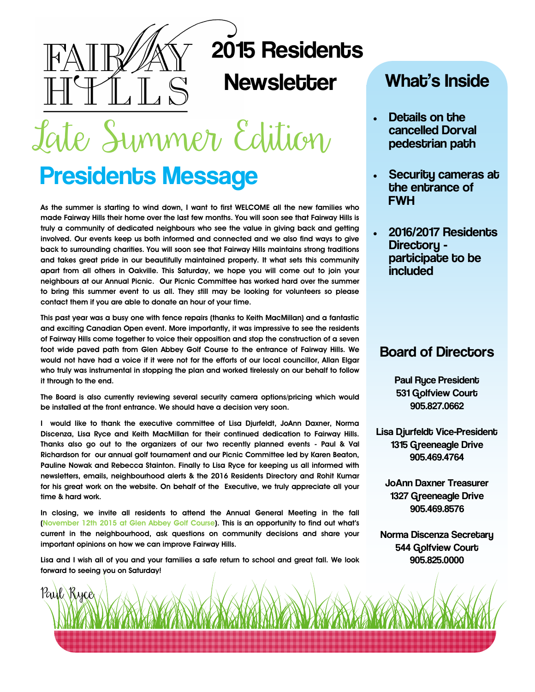

# 2015 Residents

### **Newsletter**

Late Summer Edition

## **Presidents Message**

**As the summer is starting to wind down, I want to first WELCOME all the new families who made Fairway Hills their home over the last few months. You will soon see that Fairway Hills is truly a community of dedicated neighbours who see the value in giving back and getting involved. Our events keep us both informed and connected and we also find ways to give back to surrounding charities. You will soon see that Fairway Hills maintains strong traditions and takes great pride in our beautifully maintained property. It what sets this community apart from all others in Oakville. This Saturday, we hope you will come out to join your neighbours at our Annual Picnic. Our Picnic Committee has worked hard over the summer to bring this summer event to us all. They still may be looking for volunteers so please contact them if you are able to donate an hour of your time.** 

**This past year was a busy one with fence repairs (thanks to Keith MacMillan) and a fantastic and exciting Canadian Open event. More importantly, it was impressive to see the residents of Fairway Hills come together to voice their opposition and stop the construction of a seven foot wide paved path from Glen Abbey Golf Course to the entrance of Fairway Hills. We would not have had a voice if it were not for the efforts of our local councillor, Allan Elgar who truly was instrumental in stopping the plan and worked tirelessly on our behalf to follow it through to the end.**

**The Board is also currently reviewing several security camera options/pricing which would be installed at the front entrance. We should have a decision very soon.** 

**I would like to thank the executive committee of Lisa Djurfeldt, JoAnn Daxner, Norma Discenza, Lisa Ryce and Keith MacMillan for their continued dedication to Fairway Hills. Thanks also go out to the organizers of our two recently planned events - Paul & Val Richardson for our annual golf tournament and our Picnic Committee led by Karen Beaton, Pauline Nowak and Rebecca Stainton. Finally to Lisa Ryce for keeping us all informed with newsletters, emails, neighbourhood alerts & the 2016 Residents Directory and Rohit Kumar for his great work on the website. On behalf of the Executive, we truly appreciate all your time & hard work.**

**In closing, we invite all residents to attend the Annual General Meeting in the fall (November 12th 2015 at Glen Abbey Golf Course). This is an opportunity to find out what's current in the neighbourhood, ask questions on community decisions and share your important opinions on how we can improve Fairway Hills.** 

**Lisa and I wish all of you and your families a safe return to school and great fall. We look forward to seeing you on Saturday!** 

Paul Ryce

### What's Inside

- Details on the cancelled Dorval pedestrian path
- Security cameras at the entrance of FWH
- 2016/2017 Residents Directory participate to be included

### Board of Directors

 Paul Ryce President 531 Golfview Court 905.827.0662

Lisa Djurfeldt Vice-President 1315 Greeneagle Drive 905.469.4764

JoAnn Daxner Treasurer 1327 Greeneagle Drive 905.469.8576

Norma Discenza Secretary 544 Golfview Court 905.825.0000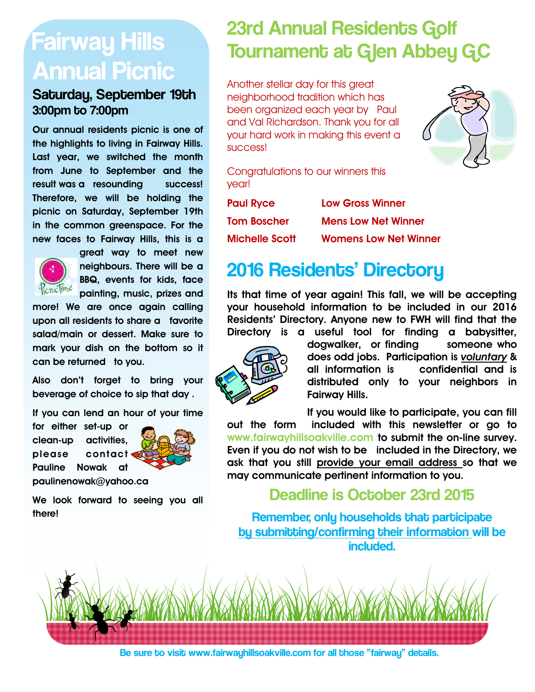# Fairway Hills Annual Picnic

### Saturday, September 19th 3:00pm to 7:00pm

**Our annual residents picnic is one of the highlights to living in Fairway Hills. Last year, we switched the month from June to September and the result was a resounding success! Therefore, we will be holding the picnic on Saturday, September 19th in the common greenspace. For the new faces to Fairway Hills, this is a** 



**great way to meet new neighbours. There will be a BBQ, events for kids, face painting, music, prizes and** 

**more! We are once again calling upon all residents to share a favorite salad/main or dessert. Make sure to mark your dish on the bottom so it can be returned to you.** 

**Also don't forget to bring your beverage of choice to sip that day .** 

**If you can lend an hour of your time** 

**for either set-up or clean-up activities, please contact Pauline Nowak at paulinenowak@yahoo.ca**



**We look forward to seeing you all there!** 

## 23rd Annual Residents Golf Tournament at Glen Abbey GC

Another stellar day for this great neighborhood tradition which has been organized each year by Paul and Val Richardson. Thank you for all your hard work in making this event a success!



Congratulations to our winners this year!

| <b>Paul Ryce</b>      | <b>Low Gross Winner</b>      |
|-----------------------|------------------------------|
| Tom Boscher           | <b>Mens Low Net Winner</b>   |
| <b>Michelle Scott</b> | <b>Womens Low Net Winner</b> |

## 2016 Residents' Directory

**Its that time of year again! This fall, we will be accepting your household information to be included in our 2016 Residents' Directory. Anyone new to FWH will find that the Directory is a useful tool for finding a babysitter,** 



**dogwalker, or finding someone who does odd jobs. Participation is** *voluntary* **& all information is confidential and is distributed only to your neighbors in Fairway Hills.** 

**If you would like to participate, you can fill** 

**out the form included with this newsletter or go to www.fairwayhillsoakville.com to submit the on-line survey. Even if you do not wish to be included in the Directory, we ask that you still provide your email address so that we may communicate pertinent information to you.** 

### Deadline is October 23rd 2015

Remember, only households that participate by submitting/confirming their information will be included.



Be sure to visit www.fairwayhillsoakville.com for all those "fairway" details.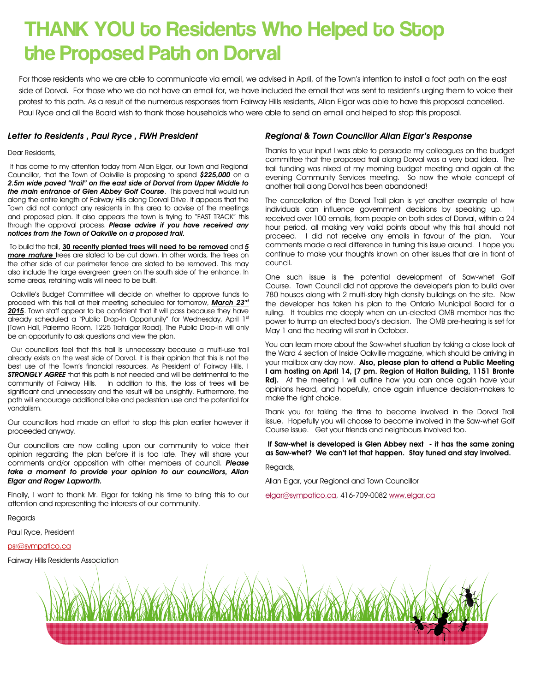### THANK YOU to Residents Who Helped to Stop the Proposed Path on Dorval

For those residents who we are able to communicate via email, we advised in April, of the Town's intention to install a foot path on the east side of Dorval. For those who we do not have an email for, we have included the email that was sent to resident's urging them to voice their protest to this path. As a result of the numerous responses from Fairway Hills residents, Allan Elgar was able to have this proposal cancelled. Paul Ryce and all the Board wish to thank those households who were able to send an email and helped to stop this proposal.

#### *Letter to Residents , Paul Ryce , FWH President*

#### Dear Residents,

It has come to my attention today from Allan Elgar, our Town and Regional Councillor, that the Town of Oakville is proposing to spend *\$225,000* on a *2.5m wide paved "trail" on the east side of Dorval from Upper Middle to the main entrance of Glen Abbey Golf Course*. This paved trail would run along the entire length of Fairway Hills along Dorval Drive. It appears that the Town did not contact any residents in this area to advise of the meetings and proposed plan. It also appears the town is trying to "FAST TRACK" this through the approval process. *Please advise if you have received any notices from the Town of Oakville on a proposed trail.*

To build the trail, **30 recently planted trees will need to be removed** and *5 more mature* trees are slated to be cut down. In other words, the trees on the other side of our perimeter fence are slated to be removed. This may also include the large evergreen green on the south side of the entrance. In some areas, retaining walls will need to be built.

Oakville's Budget Committee will decide on whether to approve funds to proceed with this trail at their meeting scheduled for tomorrow, *March 23rd* 2015. Town staff appear to be confident that it will pass because they have already scheduled a "Public Drop-In Opportunity" for Wednesday, April 1st (Town Hall, Palermo Room, 1225 Trafalgar Road). The Public Drop-In will only be an opportunity to ask questions and view the plan.

Our councillors feel that this trail is unnecessary because a multi-use trail already exists on the west side of Dorval. It is their opinion that this is not the best use of the Town's financial resources. As President of Fairway Hills, I *STRONGLY AGREE* that this path is not needed and will be detrimental to the community of Fairway Hills. In addition to this, the loss of trees will be significant and unnecessary and the result will be unsightly. Furthermore, the path will encourage additional bike and pedestrian use and the potential for vandalism.

Our councillors had made an effort to stop this plan earlier however it proceeded anyway.

Our councillors are now calling upon our community to voice their opinion regarding the plan before it is too late. They will share your comments and/or opposition with other members of council. *Please take a moment to provide your opinion to our councillors, Allan Elgar and Roger Lapworth.*

Finally, I want to thank Mr. Elgar for taking his time to bring this to our attention and representing the interests of our community.

Regards

Paul Ryce, President

#### psr@sympatico.ca

Fairway Hills Residents Association

#### *Regional & Town Councillor Allan Elgar's Response*

Thanks to your input I was able to persuade my colleagues on the budget committee that the proposed trail along Dorval was a very bad idea. The trail funding was nixed at my morning budget meeting and again at the evening Community Services meeting. So now the whole concept of another trail along Dorval has been abandoned!

The cancellation of the Dorval Trail plan is yet another example of how individuals can influence government decisions by speaking up. received over 100 emails, from people on both sides of Dorval, within a 24 hour period, all making very valid points about why this trail should not proceed. I did not receive any emails in favour of the plan. Your comments made a real difference in turning this issue around. I hope you continue to make your thoughts known on other issues that are in front of council.

One such issue is the potential development of Saw-whet Golf Course. Town Council did not approve the developer's plan to build over 780 houses along with 2 multi-story high density buildings on the site. Now the developer has taken his plan to the Ontario Municipal Board for a ruling. It troubles me deeply when an un-elected OMB member has the power to trump an elected body's decision. The OMB pre-hearing is set for May 1 and the hearing will start in October.

You can learn more about the Saw-whet situation by taking a close look at the Ward 4 section of Inside Oakville magazine, which should be arriving in your mailbox any day now. **Also, please plan to attend a Public Meeting I am hosting on April 14, (7 pm. Region of Halton Building, 1151 Bronte Rd).** At the meeting I will outline how you can once again have your opinions heard, and hopefully, once again influence decision-makers to make the right choice.

Thank you for taking the time to become involved in the Dorval Trail issue. Hopefully you will choose to become involved in the Saw-whet Golf Course issue. Get your friends and neighbours involved too.

**If Saw-whet is developed is Glen Abbey next - it has the same zoning as Saw-whet? We can't let that happen. Stay tuned and stay involved.**

Regards,

Allan Elgar, your Regional and Town Councillor

[elgar@sympatico.ca,](mailto:elgar@sympatico.ca) 416-709-0082 [www.elgar.ca](http://www.elgar.ca)